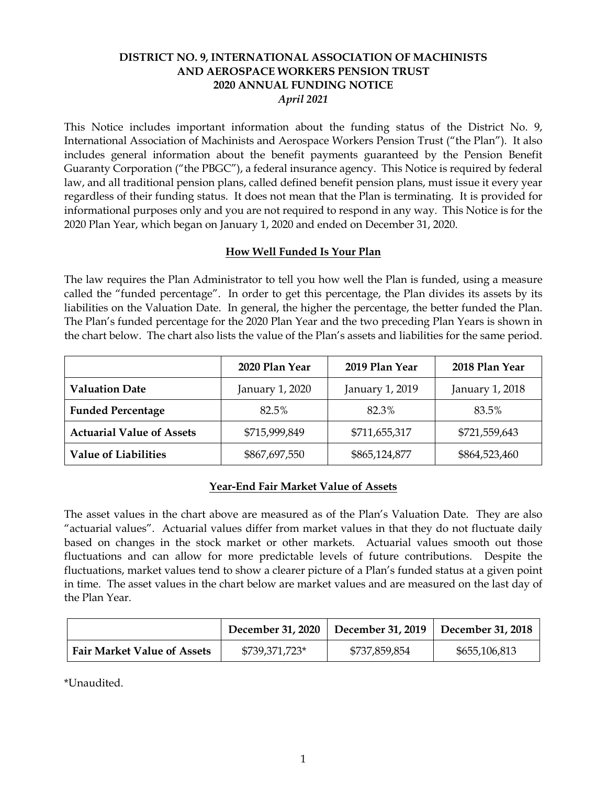# **DISTRICT NO. 9, INTERNATIONAL ASSOCIATION OF MACHINISTS AND AEROSPACE WORKERS PENSION TRUST 2020 ANNUAL FUNDING NOTICE** *April 2021*

This Notice includes important information about the funding status of the District No. 9, International Association of Machinists and Aerospace Workers Pension Trust ("the Plan"). It also includes general information about the benefit payments guaranteed by the Pension Benefit Guaranty Corporation ("the PBGC"), a federal insurance agency. This Notice is required by federal law, and all traditional pension plans, called defined benefit pension plans, must issue it every year regardless of their funding status. It does not mean that the Plan is terminating. It is provided for informational purposes only and you are not required to respond in any way. This Notice is for the 2020 Plan Year, which began on January 1, 2020 and ended on December 31, 2020.

#### **How Well Funded Is Your Plan**

The law requires the Plan Administrator to tell you how well the Plan is funded, using a measure called the "funded percentage". In order to get this percentage, the Plan divides its assets by its liabilities on the Valuation Date. In general, the higher the percentage, the better funded the Plan. The Plan's funded percentage for the 2020 Plan Year and the two preceding Plan Years is shown in the chart below. The chart also lists the value of the Plan's assets and liabilities for the same period.

|                                  | 2020 Plan Year  | 2019 Plan Year  | 2018 Plan Year  |
|----------------------------------|-----------------|-----------------|-----------------|
| <b>Valuation Date</b>            | January 1, 2020 | January 1, 2019 | January 1, 2018 |
| <b>Funded Percentage</b>         | 82.5%           | 82.3%           | 83.5%           |
| <b>Actuarial Value of Assets</b> | \$715,999,849   | \$711,655,317   | \$721,559,643   |
| <b>Value of Liabilities</b>      | \$867,697,550   | \$865,124,877   | \$864,523,460   |

# **Year-End Fair Market Value of Assets**

The asset values in the chart above are measured as of the Plan's Valuation Date. They are also "actuarial values". Actuarial values differ from market values in that they do not fluctuate daily based on changes in the stock market or other markets. Actuarial values smooth out those fluctuations and can allow for more predictable levels of future contributions. Despite the fluctuations, market values tend to show a clearer picture of a Plan's funded status at a given point in time. The asset values in the chart below are market values and are measured on the last day of the Plan Year.

|                                    |                | December 31, 2020   December 31, 2019 | December 31, 2018 |
|------------------------------------|----------------|---------------------------------------|-------------------|
| <b>Fair Market Value of Assets</b> | \$739,371,723* | \$737,859,854                         | \$655,106,813     |

\*Unaudited.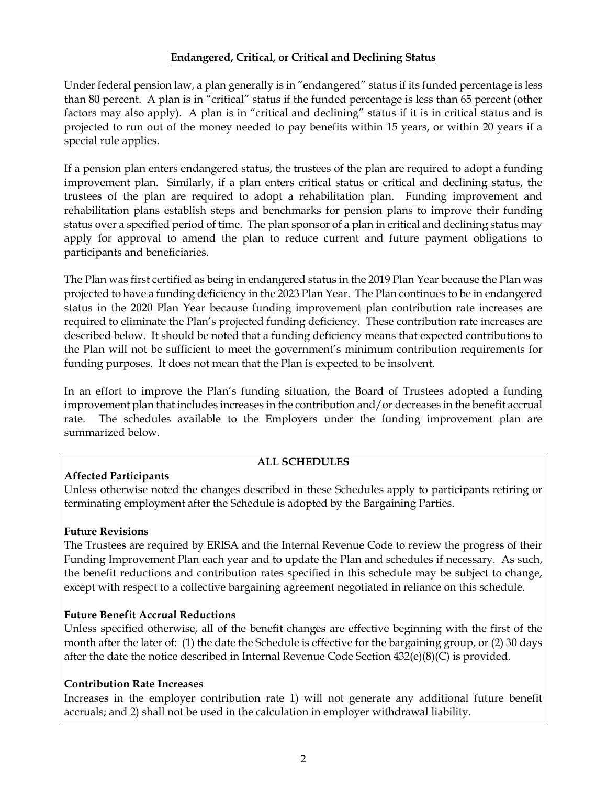# **Endangered, Critical, or Critical and Declining Status**

Under federal pension law, a plan generally is in "endangered" status if its funded percentage is less than 80 percent. A plan is in "critical" status if the funded percentage is less than 65 percent (other factors may also apply). A plan is in "critical and declining" status if it is in critical status and is projected to run out of the money needed to pay benefits within 15 years, or within 20 years if a special rule applies.

If a pension plan enters endangered status, the trustees of the plan are required to adopt a funding improvement plan. Similarly, if a plan enters critical status or critical and declining status, the trustees of the plan are required to adopt a rehabilitation plan. Funding improvement and rehabilitation plans establish steps and benchmarks for pension plans to improve their funding status over a specified period of time. The plan sponsor of a plan in critical and declining status may apply for approval to amend the plan to reduce current and future payment obligations to participants and beneficiaries.

The Plan was first certified as being in endangered status in the 2019 Plan Year because the Plan was projected to have a funding deficiency in the 2023 Plan Year. The Plan continues to be in endangered status in the 2020 Plan Year because funding improvement plan contribution rate increases are required to eliminate the Plan's projected funding deficiency. These contribution rate increases are described below. It should be noted that a funding deficiency means that expected contributions to the Plan will not be sufficient to meet the government's minimum contribution requirements for funding purposes. It does not mean that the Plan is expected to be insolvent.

In an effort to improve the Plan's funding situation, the Board of Trustees adopted a funding improvement plan that includes increases in the contribution and/or decreases in the benefit accrual rate. The schedules available to the Employers under the funding improvement plan are summarized below.

# **Affected Participants**

# **ALL SCHEDULES**

Unless otherwise noted the changes described in these Schedules apply to participants retiring or terminating employment after the Schedule is adopted by the Bargaining Parties.

#### **Future Revisions**

The Trustees are required by ERISA and the Internal Revenue Code to review the progress of their Funding Improvement Plan each year and to update the Plan and schedules if necessary. As such, the benefit reductions and contribution rates specified in this schedule may be subject to change, except with respect to a collective bargaining agreement negotiated in reliance on this schedule.

# **Future Benefit Accrual Reductions**

Unless specified otherwise, all of the benefit changes are effective beginning with the first of the month after the later of: (1) the date the Schedule is effective for the bargaining group, or (2) 30 days after the date the notice described in Internal Revenue Code Section 432(e)(8)(C) is provided.

# **Contribution Rate Increases**

Increases in the employer contribution rate 1) will not generate any additional future benefit accruals; and 2) shall not be used in the calculation in employer withdrawal liability.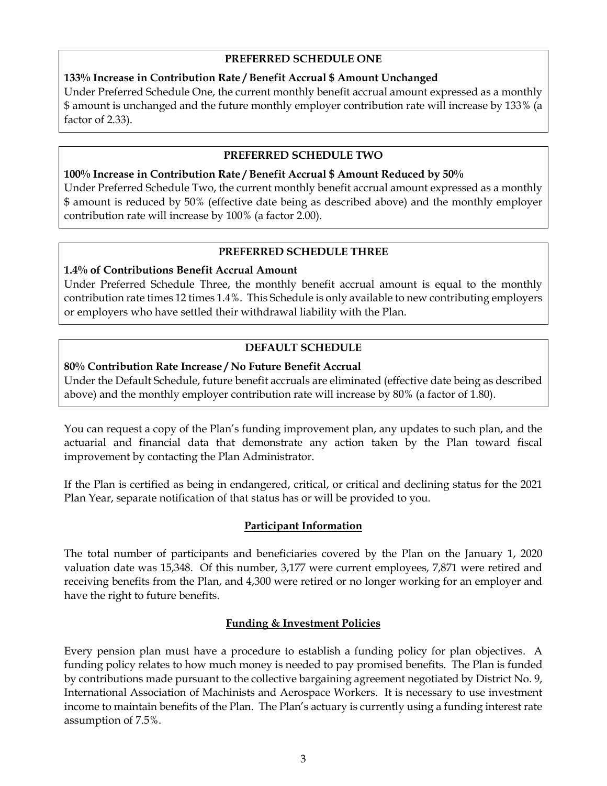#### **PREFERRED SCHEDULE ONE**

### **133% Increase in Contribution Rate / Benefit Accrual \$ Amount Unchanged**

Under Preferred Schedule One, the current monthly benefit accrual amount expressed as a monthly \$ amount is unchanged and the future monthly employer contribution rate will increase by 133% (a factor of 2.33).

#### **PREFERRED SCHEDULE TWO**

#### **100% Increase in Contribution Rate / Benefit Accrual \$ Amount Reduced by 50%** Under Preferred Schedule Two, the current monthly benefit accrual amount expressed as a monthly \$ amount is reduced by 50% (effective date being as described above) and the monthly employer

contribution rate will increase by 100% (a factor 2.00).

### **PREFERRED SCHEDULE THREE**

### **1.4% of Contributions Benefit Accrual Amount**

Under Preferred Schedule Three, the monthly benefit accrual amount is equal to the monthly contribution rate times 12 times 1.4%. This Schedule is only available to new contributing employers or employers who have settled their withdrawal liability with the Plan.

### **DEFAULT SCHEDULE**

### **80% Contribution Rate Increase / No Future Benefit Accrual**

Under the Default Schedule, future benefit accruals are eliminated (effective date being as described above) and the monthly employer contribution rate will increase by 80% (a factor of 1.80).

You can request a copy of the Plan's funding improvement plan, any updates to such plan, and the actuarial and financial data that demonstrate any action taken by the Plan toward fiscal improvement by contacting the Plan Administrator.

If the Plan is certified as being in endangered, critical, or critical and declining status for the 2021 Plan Year, separate notification of that status has or will be provided to you.

#### **Participant Information**

The total number of participants and beneficiaries covered by the Plan on the January 1, 2020 valuation date was 15,348. Of this number, 3,177 were current employees, 7,871 were retired and receiving benefits from the Plan, and 4,300 were retired or no longer working for an employer and have the right to future benefits.

#### **Funding & Investment Policies**

Every pension plan must have a procedure to establish a funding policy for plan objectives. A funding policy relates to how much money is needed to pay promised benefits. The Plan is funded by contributions made pursuant to the collective bargaining agreement negotiated by District No. 9, International Association of Machinists and Aerospace Workers. It is necessary to use investment income to maintain benefits of the Plan. The Plan's actuary is currently using a funding interest rate assumption of 7.5%.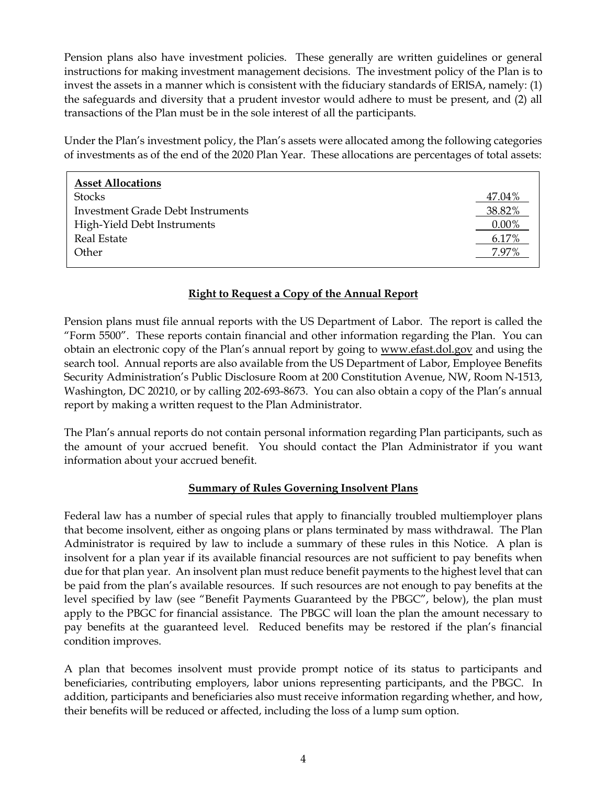Pension plans also have investment policies. These generally are written guidelines or general instructions for making investment management decisions. The investment policy of the Plan is to invest the assets in a manner which is consistent with the fiduciary standards of ERISA, namely: (1) the safeguards and diversity that a prudent investor would adhere to must be present, and (2) all transactions of the Plan must be in the sole interest of all the participants.

Under the Plan's investment policy, the Plan's assets were allocated among the following categories of investments as of the end of the 2020 Plan Year. These allocations are percentages of total assets:

| <b>Asset Allocations</b>                 |          |
|------------------------------------------|----------|
| <b>Stocks</b>                            | 47.04%   |
| <b>Investment Grade Debt Instruments</b> | 38.82%   |
| High-Yield Debt Instruments              | $0.00\%$ |
| <b>Real Estate</b>                       | 6.17%    |
| Other                                    | 7.97%    |
|                                          |          |

### **Right to Request a Copy of the Annual Report**

Pension plans must file annual reports with the US Department of Labor. The report is called the "Form 5500". These reports contain financial and other information regarding the Plan. You can obtain an electronic copy of the Plan's annual report by going to www.efast.dol.gov and using the search tool. Annual reports are also available from the US Department of Labor, Employee Benefits Security Administration's Public Disclosure Room at 200 Constitution Avenue, NW, Room N-1513, Washington, DC 20210, or by calling 202-693-8673. You can also obtain a copy of the Plan's annual report by making a written request to the Plan Administrator.

The Plan's annual reports do not contain personal information regarding Plan participants, such as the amount of your accrued benefit. You should contact the Plan Administrator if you want information about your accrued benefit.

# **Summary of Rules Governing Insolvent Plans**

Federal law has a number of special rules that apply to financially troubled multiemployer plans that become insolvent, either as ongoing plans or plans terminated by mass withdrawal. The Plan Administrator is required by law to include a summary of these rules in this Notice. A plan is insolvent for a plan year if its available financial resources are not sufficient to pay benefits when due for that plan year. An insolvent plan must reduce benefit payments to the highest level that can be paid from the plan's available resources. If such resources are not enough to pay benefits at the level specified by law (see "Benefit Payments Guaranteed by the PBGC", below), the plan must apply to the PBGC for financial assistance. The PBGC will loan the plan the amount necessary to pay benefits at the guaranteed level. Reduced benefits may be restored if the plan's financial condition improves.

A plan that becomes insolvent must provide prompt notice of its status to participants and beneficiaries, contributing employers, labor unions representing participants, and the PBGC. In addition, participants and beneficiaries also must receive information regarding whether, and how, their benefits will be reduced or affected, including the loss of a lump sum option.